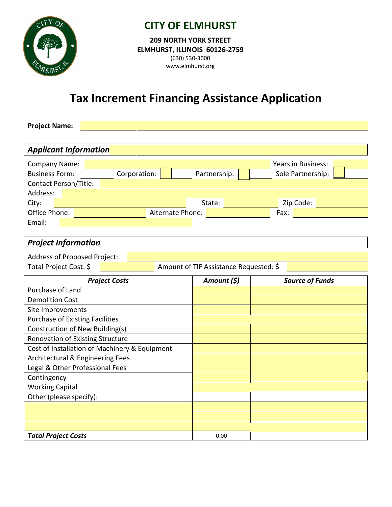

## **CITY OF ELMHURST**

**209 NORTH YORK STREET ELMHURST, ILLINOIS 60126-2759** (630) 530-3000 www.elmhurst.org

# **Tax Increment Financing Assistance Application**

**Project Name:**

| <b>Applicant Information</b>                                                                                          |                                        |                              |  |  |  |  |
|-----------------------------------------------------------------------------------------------------------------------|----------------------------------------|------------------------------|--|--|--|--|
| Company Name:                                                                                                         |                                        | <b>Years in Business:</b>    |  |  |  |  |
| Corporation:<br><b>Business Form:</b>                                                                                 | Partnership:                           | Sole Partnership:            |  |  |  |  |
| <b>Contact Person/Title:</b>                                                                                          |                                        |                              |  |  |  |  |
| Address:                                                                                                              |                                        |                              |  |  |  |  |
| City:                                                                                                                 | State:<br>Zip Code:                    |                              |  |  |  |  |
| <b>Office Phone:</b> Network and Network and Network Alternate Phone: Network and Network and Network and Network and |                                        | Fax: <b>Exercise Service</b> |  |  |  |  |
| Email:                                                                                                                |                                        |                              |  |  |  |  |
|                                                                                                                       |                                        |                              |  |  |  |  |
| <b>Project Information</b>                                                                                            |                                        |                              |  |  |  |  |
| Address of Proposed Project:                                                                                          |                                        |                              |  |  |  |  |
| Total Project Cost: \$                                                                                                | Amount of TIF Assistance Requested: \$ |                              |  |  |  |  |
| <b>Project Costs</b>                                                                                                  | Amount (\$)                            | <b>Source of Funds</b>       |  |  |  |  |
| Purchase of Land                                                                                                      |                                        |                              |  |  |  |  |
| <b>Demolition Cost</b>                                                                                                |                                        |                              |  |  |  |  |
| Site Improvements                                                                                                     |                                        |                              |  |  |  |  |
| <b>Purchase of Existing Facilities</b>                                                                                |                                        |                              |  |  |  |  |
| Construction of New Building(s)                                                                                       |                                        |                              |  |  |  |  |
| Renovation of Existing Structure                                                                                      |                                        |                              |  |  |  |  |
| Cost of Installation of Machinery & Equipment                                                                         |                                        |                              |  |  |  |  |
| Architectural & Engineering Fees                                                                                      |                                        |                              |  |  |  |  |
| Legal & Other Professional Fees                                                                                       |                                        |                              |  |  |  |  |
| Contingency                                                                                                           |                                        |                              |  |  |  |  |
| <b>Working Capital</b>                                                                                                |                                        |                              |  |  |  |  |
| Other (please specify):                                                                                               |                                        |                              |  |  |  |  |
|                                                                                                                       |                                        |                              |  |  |  |  |
|                                                                                                                       |                                        |                              |  |  |  |  |
|                                                                                                                       |                                        |                              |  |  |  |  |
| <b>Total Project Costs</b>                                                                                            | 0.00                                   |                              |  |  |  |  |